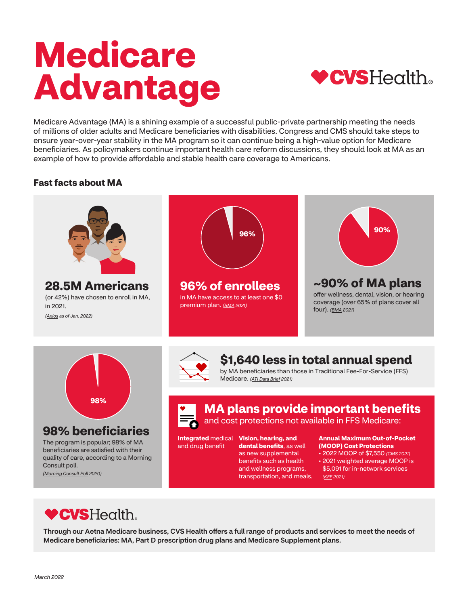# **Medicare Advantage**



Medicare Advantage (MA) is a shining example of a successful public-private partnership meeting the needs of millions of older adults and Medicare beneficiaries with disabilities. Congress and CMS should take steps to ensure year-over-year stability in the MA program so it can continue being a high-value option for Medicare beneficiaries. As policymakers continue important health care reform discussions, they should look at MA as an example of how to provide affordable and stable health care coverage to Americans.

## **Fast facts about MA**





# **98% beneficiaries**

The program is popular; 98% of MA beneficiaries are satisfied with their quality of care, according to a Morning Consult poll. *[\(Morning Consult Poll](https://bettermedicarealliance.org/wp-content/uploads/2021/01/BMA_Seniors-on-Medicare-Memo_.pdf) 2020)*



# **\$1,640 less in total annual spend**

by MA beneficiaries than those in Traditional Fee-For-Service (FFS) Medicare. *[\(ATI Data Brief](https://bettermedicarealliance.org/wp-content/uploads/2021/03/BMA-Data-Brief-March-2021-FIN.pdf) 2021)*

**MA plans provide important benefits** 

and cost protections not available in FFS Medicare:

and drug benefit

**Integrated** medical **Vision, hearing, and dental benefits**, as well as new supplemental benefits such as health and wellness programs, transportation, and meals.

#### **Annual Maximum Out-of-Pocket (MOOP) Cost Protections**

• 2022 MOOP of \$7,550 *(CMS 2021)*  • 2021 weighted average MOOP is \$5,091 for in-network services *[\(KFF](https://www.kff.org/medicare/issue-brief/medicare-advantage-in-2021-premiums-cost-sharing-out-of-pocket-limits-and-supplemental-benefits/) 2021)* 

# **CVS**Health.

Through our Aetna Medicare business, CVS Health offers a full range of products and services to meet the needs of Medicare beneficiaries: MA, Part D prescription drug plans and Medicare Supplement plans.